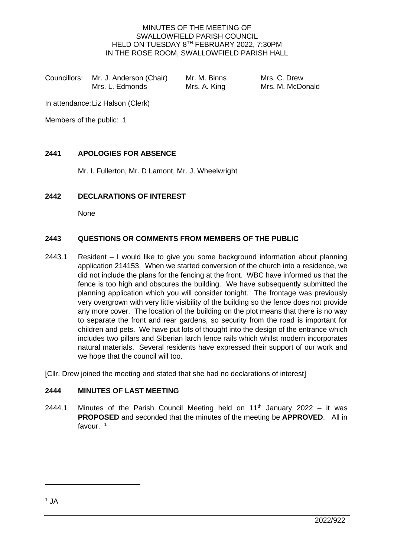#### MINUTES OF THE MEETING OF SWALLOWFIELD PARISH COUNCIL HELD ON TUESDAY 8TH FEBRUARY 2022, 7:30PM IN THE ROSE ROOM, SWALLOWFIELD PARISH HALL

Councillors: Mr. J. Anderson (Chair) Mr. M. Binns Mrs. C. Drew<br>Mrs. L. Edmonds Mrs. A. King Mrs. M. McDo

Mrs. A. King Mrs. M. McDonald

In attendance:Liz Halson (Clerk)

Members of the public: 1

## **2441 APOLOGIES FOR ABSENCE**

Mr. I. Fullerton, Mr. D Lamont, Mr. J. Wheelwright

## **2442 DECLARATIONS OF INTEREST**

None

## **2443 QUESTIONS OR COMMENTS FROM MEMBERS OF THE PUBLIC**

2443.1 Resident – I would like to give you some background information about planning application 214153. When we started conversion of the church into a residence, we did not include the plans for the fencing at the front. WBC have informed us that the fence is too high and obscures the building. We have subsequently submitted the planning application which you will consider tonight. The frontage was previously very overgrown with very little visibility of the building so the fence does not provide any more cover. The location of the building on the plot means that there is no way to separate the front and rear gardens, so security from the road is important for children and pets. We have put lots of thought into the design of the entrance which includes two pillars and Siberian larch fence rails which whilst modern incorporates natural materials. Several residents have expressed their support of our work and we hope that the council will too.

[Cllr. Drew joined the meeting and stated that she had no declarations of interest]

## **2444 MINUTES OF LAST MEETING**

2444.1 Minutes of the Parish Council Meeting held on  $11<sup>th</sup>$  January 2022 – it was **PROPOSED** and seconded that the minutes of the meeting be **APPROVED**. All in favour. 1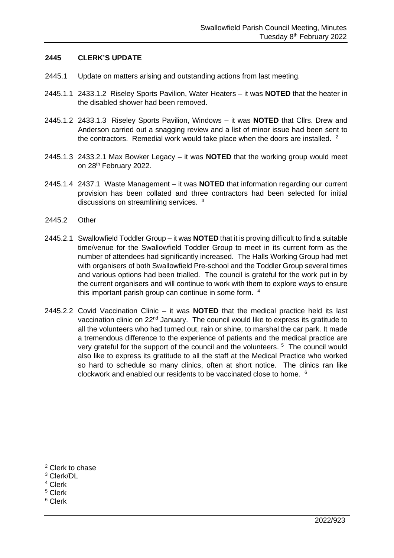#### **2445 CLERK'S UPDATE**

- 2445.1 Update on matters arising and outstanding actions from last meeting.
- 2445.1.1 2433.1.2 Riseley Sports Pavilion, Water Heaters it was **NOTED** that the heater in the disabled shower had been removed.
- 2445.1.2 2433.1.3 Riseley Sports Pavilion, Windows it was **NOTED** that Cllrs. Drew and Anderson carried out a snagging review and a list of minor issue had been sent to the contractors. Remedial work would take place when the doors are installed.  $2$
- 2445.1.3 2433.2.1 Max Bowker Legacy it was **NOTED** that the working group would meet on 28<sup>th</sup> February 2022.
- 2445.1.4 2437.1 Waste Management it was **NOTED** that information regarding our current provision has been collated and three contractors had been selected for initial discussions on streamlining services. <sup>3</sup>
- 2445.2 Other
- 2445.2.1 Swallowfield Toddler Group it was **NOTED** that it is proving difficult to find a suitable time/venue for the Swallowfield Toddler Group to meet in its current form as the number of attendees had significantly increased. The Halls Working Group had met with organisers of both Swallowfield Pre-school and the Toddler Group several times and various options had been trialled. The council is grateful for the work put in by the current organisers and will continue to work with them to explore ways to ensure this important parish group can continue in some form. 4
- 2445.2.2 Covid Vaccination Clinic it was **NOTED** that the medical practice held its last vaccination clinic on 22<sup>nd</sup> January. The council would like to express its gratitude to all the volunteers who had turned out, rain or shine, to marshal the car park. It made a tremendous difference to the experience of patients and the medical practice are very grateful for the support of the council and the volunteers.<sup>5</sup> The council would also like to express its gratitude to all the staff at the Medical Practice who worked so hard to schedule so many clinics, often at short notice. The clinics ran like clockwork and enabled our residents to be vaccinated close to home. <sup>6</sup>

- <sup>3</sup> Clerk/DL
- <sup>4</sup> Clerk
- <sup>5</sup> Clerk
- <sup>6</sup> Clerk

<sup>2</sup> Clerk to chase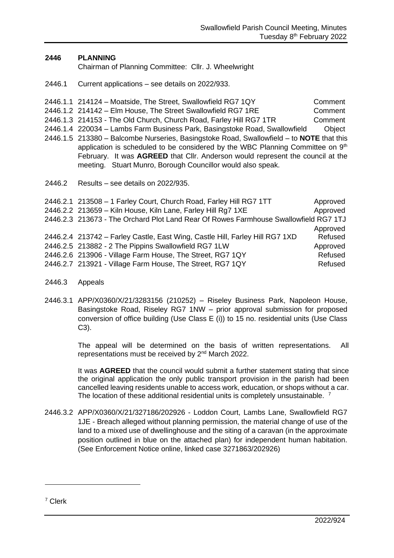### **2446 PLANNING**

Chairman of Planning Committee: Cllr. J. Wheelwright

- 2446.1 Current applications see details on 2022/933.
- 2446.1.1 214124 Moatside, The Street, Swallowfield RG7 1QY Comment 2446.1.2 214142 – Elm House, The Street Swallowfield RG7 1RE Comment 2446.1.3 214153 - The Old Church, Church Road, Farley Hill RG7 1TR Comment 2446.1.4 220034 – Lambs Farm Business Park, Basingstoke Road, Swallowfield Object 2446.1.5 213380 – Balcombe Nurseries, Basingstoke Road, Swallowfield – to **NOTE** that this application is scheduled to be considered by the WBC Planning Committee on 9<sup>th</sup> February. It was **AGREED** that Cllr. Anderson would represent the council at the meeting. Stuart Munro, Borough Councillor would also speak. 2446.2 Results – see details on 2022/935.

| 2446.2.1 213508 - 1 Farley Court, Church Road, Farley Hill RG7 1TT                   | Approved |
|--------------------------------------------------------------------------------------|----------|
| 2446.2.2 213659 - Kiln House, Kiln Lane, Farley Hill Rg7 1XE                         | Approved |
| 2446.2.3 213673 - The Orchard Plot Land Rear Of Rowes Farmhouse Swallowfield RG7 1TJ |          |
|                                                                                      | Approved |
| 2446.2.4 213742 - Farley Castle, East Wing, Castle Hill, Farley Hill RG7 1XD         | Refused  |
| 2446.2.5 213882 - 2 The Pippins Swallowfield RG7 1LW                                 | Approved |
| 2446.2.6 213906 - Village Farm House, The Street, RG7 1QY                            | Refused  |
| 2446.2.7 213921 - Village Farm House, The Street, RG7 1QY                            | Refused  |

- 2446.3 Appeals
- 2446.3.1 APP/X0360/X/21/3283156 (210252) Riseley Business Park, Napoleon House, Basingstoke Road, Riseley RG7 1NW – prior approval submission for proposed conversion of office building (Use Class E (i)) to 15 no. residential units (Use Class C3).

The appeal will be determined on the basis of written representations. All representations must be received by 2<sup>nd</sup> March 2022.

It was **AGREED** that the council would submit a further statement stating that since the original application the only public transport provision in the parish had been cancelled leaving residents unable to access work, education, or shops without a car. The location of these additional residential units is completely unsustainable.<sup>7</sup>

2446.3.2 APP/X0360/X/21/327186/202926 - Loddon Court, Lambs Lane, Swallowfield RG7 1JE - Breach alleged without planning permission, the material change of use of the land to a mixed use of dwellinghouse and the siting of a caravan (in the approximate position outlined in blue on the attached plan) for independent human habitation. (See Enforcement Notice online, linked case 3271863/202926)

<sup>7</sup> Clerk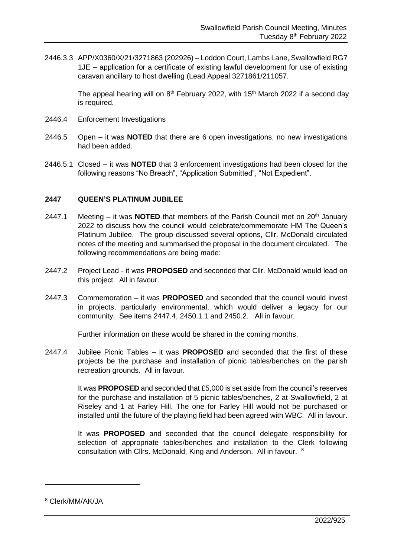2446.3.3 APP/X0360/X/21/3271863 (202926) – Loddon Court, Lambs Lane, Swallowfield RG7 1JE – application for a certificate of existing lawful development for use of existing caravan ancillary to host dwelling (Lead Appeal 3271861/211057.

> The appeal hearing will on  $8<sup>th</sup>$  February 2022, with 15<sup>th</sup> March 2022 if a second day is required.

- 2446.4 Enforcement Investigations
- 2446.5 Open it was **NOTED** that there are 6 open investigations, no new investigations had been added.
- 2446.5.1 Closed it was **NOTED** that 3 enforcement investigations had been closed for the following reasons "No Breach", "Application Submitted", "Not Expedient".

#### **2447 QUEEN'S PLATINUM JUBILEE**

- 2447.1 Meeting it was **NOTED** that members of the Parish Council met on 20<sup>th</sup> January 2022 to discuss how the council would celebrate/commemorate HM The Queen's Platinum Jubilee. The group discussed several options, Cllr. McDonald circulated notes of the meeting and summarised the proposal in the document circulated. The following recommendations are being made:
- 2447.2 Project Lead it was **PROPOSED** and seconded that Cllr. McDonald would lead on this project. All in favour.
- 2447.3 Commemoration it was **PROPOSED** and seconded that the council would invest in projects, particularly environmental, which would deliver a legacy for our community. See items 2447.4, 2450.1.1 and 2450.2. All in favour.

Further information on these would be shared in the coming months.

2447.4 Jubilee Picnic Tables – it was **PROPOSED** and seconded that the first of these projects be the purchase and installation of picnic tables/benches on the parish recreation grounds. All in favour.

> It was **PROPOSED** and seconded that £5,000 is set aside from the council's reserves for the purchase and installation of 5 picnic tables/benches, 2 at Swallowfield, 2 at Riseley and 1 at Farley Hill. The one for Farley Hill would not be purchased or installed until the future of the playing field had been agreed with WBC. All in favour.

> It was **PROPOSED** and seconded that the council delegate responsibility for selection of appropriate tables/benches and installation to the Clerk following consultation with Cllrs. McDonald, King and Anderson. All in favour. <sup>8</sup>

<sup>8</sup> Clerk/MM/AK/JA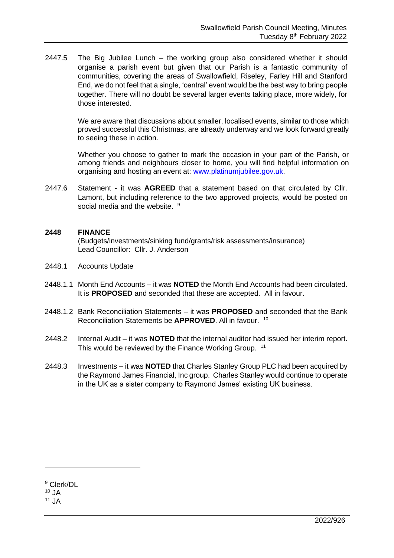2447.5 The Big Jubilee Lunch – the working group also considered whether it should organise a parish event but given that our Parish is a fantastic community of communities, covering the areas of Swallowfield, Riseley, Farley Hill and Stanford End, we do not feel that a single, 'central' event would be the best way to bring people together. There will no doubt be several larger events taking place, more widely, for those interested.

> We are aware that discussions about smaller, localised events, similar to those which proved successful this Christmas, are already underway and we look forward greatly to seeing these in action.

> Whether you choose to gather to mark the occasion in your part of the Parish, or among friends and neighbours closer to home, you will find helpful information on organising and hosting an event at: [www.platinumjubilee.gov.uk.](http://www.platinumjubilee.gov.uk/)

2447.6 Statement - it was **AGREED** that a statement based on that circulated by Cllr. Lamont, but including reference to the two approved projects, would be posted on social media and the website. <sup>9</sup>

#### **2448 FINANCE**

(Budgets/investments/sinking fund/grants/risk assessments/insurance) Lead Councillor: Cllr. J. Anderson

- 2448.1 Accounts Update
- 2448.1.1 Month End Accounts it was **NOTED** the Month End Accounts had been circulated. It is **PROPOSED** and seconded that these are accepted. All in favour.
- 2448.1.2 Bank Reconciliation Statements it was **PROPOSED** and seconded that the Bank Reconciliation Statements be **APPROVED**. All in favour. 10
- 2448.2 Internal Audit it was **NOTED** that the internal auditor had issued her interim report. This would be reviewed by the Finance Working Group. <sup>11</sup>
- 2448.3 Investments it was **NOTED** that Charles Stanley Group PLC had been acquired by the Raymond James Financial, Inc group. Charles Stanley would continue to operate in the UK as a sister company to Raymond James' existing UK business.

<sup>9</sup> Clerk/DL

 $10$  JA

 $11$  JA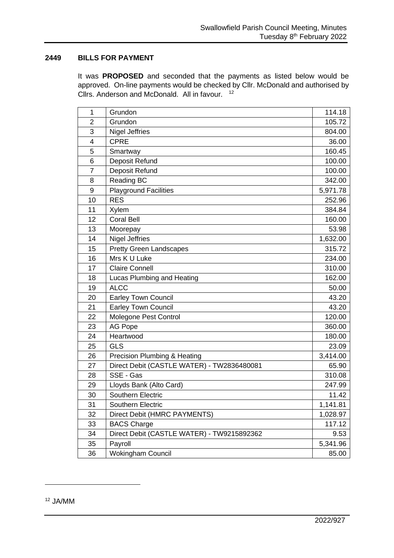#### **BILLS FOR PAYMENT**

It was **PROPOSED** and seconded that the payments as listed below would be approved. On-line payments would be checked by Cllr. McDonald and authorised by Cllrs. Anderson and McDonald. All in favour. <sup>12</sup>

| 1              | Grundon                                    | 114.18   |  |
|----------------|--------------------------------------------|----------|--|
| $\overline{2}$ | Grundon                                    | 105.72   |  |
| 3              | <b>Nigel Jeffries</b>                      | 804.00   |  |
| 4              | <b>CPRE</b>                                | 36.00    |  |
| 5              | Smartway                                   | 160.45   |  |
| 6              | Deposit Refund                             | 100.00   |  |
| $\overline{7}$ | Deposit Refund                             | 100.00   |  |
| 8              | Reading BC                                 | 342.00   |  |
| 9              | <b>Playground Facilities</b>               | 5,971.78 |  |
| 10             | <b>RES</b>                                 | 252.96   |  |
| 11             | <b>Xylem</b>                               | 384.84   |  |
| 12             | <b>Coral Bell</b>                          | 160.00   |  |
| 13             | Moorepay                                   | 53.98    |  |
| 14             | <b>Nigel Jeffries</b>                      | 1,632.00 |  |
| 15             | <b>Pretty Green Landscapes</b>             | 315.72   |  |
| 16             | Mrs K U Luke                               | 234.00   |  |
| 17             | <b>Claire Connell</b>                      | 310.00   |  |
| 18             | Lucas Plumbing and Heating                 | 162.00   |  |
| 19             | <b>ALCC</b>                                | 50.00    |  |
| 20             | <b>Earley Town Council</b>                 | 43.20    |  |
| 21             | <b>Earley Town Council</b>                 | 43.20    |  |
| 22             | Molegone Pest Control                      | 120.00   |  |
| 23             | AG Pope                                    | 360.00   |  |
| 24             | Heartwood                                  | 180.00   |  |
| 25             | <b>GLS</b>                                 | 23.09    |  |
| 26             | Precision Plumbing & Heating               | 3,414.00 |  |
| 27             | Direct Debit (CASTLE WATER) - TW2836480081 | 65.90    |  |
| 28             | SSE - Gas                                  | 310.08   |  |
| 29             | Lloyds Bank (Alto Card)                    | 247.99   |  |
| 30             | Southern Electric                          | 11.42    |  |
| 31             | Southern Electric                          | 1,141.81 |  |
| 32             | Direct Debit (HMRC PAYMENTS)               | 1,028.97 |  |
| 33             | <b>BACS Charge</b>                         |          |  |
| 34             | Direct Debit (CASTLE WATER) - TW9215892362 | 9.53     |  |
| 35             | Payroll                                    | 5,341.96 |  |
| 36             | <b>Wokingham Council</b>                   | 85.00    |  |

JA/MM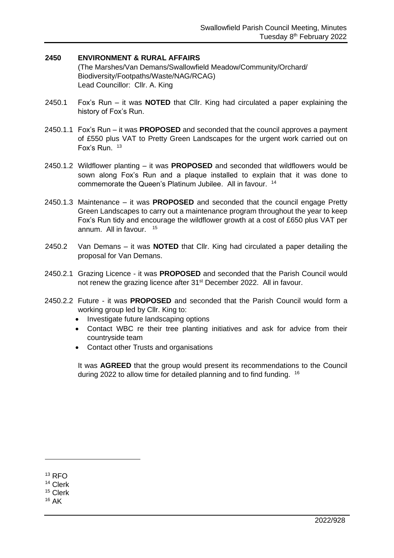#### **2450 ENVIRONMENT & RURAL AFFAIRS**

(The Marshes/Van Demans/Swallowfield Meadow/Community/Orchard/ Biodiversity/Footpaths/Waste/NAG/RCAG) Lead Councillor: Cllr. A. King

- 2450.1 Fox's Run it was **NOTED** that Cllr. King had circulated a paper explaining the history of Fox's Run.
- 2450.1.1 Fox's Run it was **PROPOSED** and seconded that the council approves a payment of £550 plus VAT to Pretty Green Landscapes for the urgent work carried out on Fox's Run. 13
- 2450.1.2 Wildflower planting it was **PROPOSED** and seconded that wildflowers would be sown along Fox's Run and a plaque installed to explain that it was done to commemorate the Queen's Platinum Jubilee. All in favour. 14
- 2450.1.3 Maintenance it was **PROPOSED** and seconded that the council engage Pretty Green Landscapes to carry out a maintenance program throughout the year to keep Fox's Run tidy and encourage the wildflower growth at a cost of £650 plus VAT per annum. All in favour. <sup>15</sup>
- 2450.2 Van Demans it was **NOTED** that Cllr. King had circulated a paper detailing the proposal for Van Demans.
- 2450.2.1 Grazing Licence it was **PROPOSED** and seconded that the Parish Council would not renew the grazing licence after 31<sup>st</sup> December 2022. All in favour.
- 2450.2.2 Future it was **PROPOSED** and seconded that the Parish Council would form a working group led by Cllr. King to:
	- Investigate future landscaping options
	- Contact WBC re their tree planting initiatives and ask for advice from their countryside team
	- Contact other Trusts and organisations

It was **AGREED** that the group would present its recommendations to the Council during 2022 to allow time for detailed planning and to find funding. <sup>16</sup>

<sup>13</sup> RFO

<sup>14</sup> Clerk

<sup>15</sup> Clerk

 $16$  AK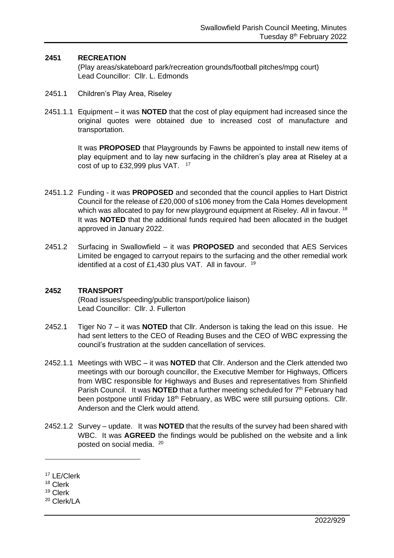#### **2451 RECREATION**

(Play areas/skateboard park/recreation grounds/football pitches/mpg court) Lead Councillor: Cllr. L. Edmonds

- 2451.1 Children's Play Area, Riseley
- 2451.1.1 Equipment it was **NOTED** that the cost of play equipment had increased since the original quotes were obtained due to increased cost of manufacture and transportation.

It was **PROPOSED** that Playgrounds by Fawns be appointed to install new items of play equipment and to lay new surfacing in the children's play area at Riseley at a cost of up to £32,999 plus VAT.  $17$ 

- 2451.1.2 Funding it was **PROPOSED** and seconded that the council applies to Hart District Council for the release of £20,000 of s106 money from the Cala Homes development which was allocated to pay for new playground equipment at Riseley. All in favour. <sup>18</sup> It was **NOTED** that the additional funds required had been allocated in the budget approved in January 2022.
- 2451.2 Surfacing in Swallowfield it was **PROPOSED** and seconded that AES Services Limited be engaged to carryout repairs to the surfacing and the other remedial work identified at a cost of £1,430 plus VAT. All in favour. <sup>19</sup>

#### **2452 TRANSPORT**

(Road issues/speeding/public transport/police liaison) Lead Councillor: Cllr. J. Fullerton

- 2452.1 Tiger No 7 it was **NOTED** that Cllr. Anderson is taking the lead on this issue. He had sent letters to the CEO of Reading Buses and the CEO of WBC expressing the council's frustration at the sudden cancellation of services.
- 2452.1.1 Meetings with WBC it was **NOTED** that Cllr. Anderson and the Clerk attended two meetings with our borough councillor, the Executive Member for Highways, Officers from WBC responsible for Highways and Buses and representatives from Shinfield Parish Council. It was **NOTED** that a further meeting scheduled for 7<sup>th</sup> February had been postpone until Friday 18<sup>th</sup> February, as WBC were still pursuing options. Cllr. Anderson and the Clerk would attend.
- 2452.1.2 Survey update. It was **NOTED** that the results of the survey had been shared with WBC. It was **AGREED** the findings would be published on the website and a link posted on social media. <sup>20</sup>

<sup>17</sup> LE/Clerk

<sup>18</sup> Clerk

<sup>19</sup> Clerk

<sup>20</sup> Clerk/LA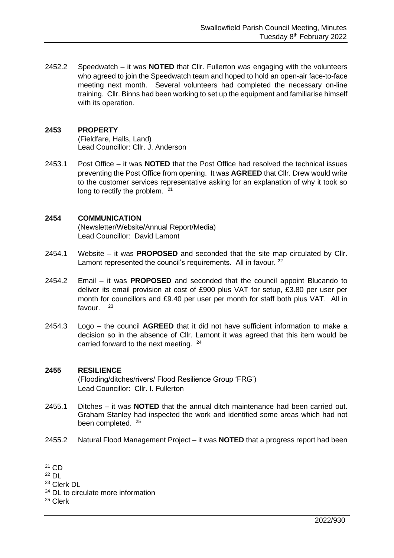2452.2 Speedwatch – it was **NOTED** that Cllr. Fullerton was engaging with the volunteers who agreed to join the Speedwatch team and hoped to hold an open-air face-to-face meeting next month. Several volunteers had completed the necessary on-line training. Cllr. Binns had been working to set up the equipment and familiarise himself with its operation.

### **2453 PROPERTY**

(Fieldfare, Halls, Land) Lead Councillor: Cllr. J. Anderson

2453.1 Post Office – it was **NOTED** that the Post Office had resolved the technical issues preventing the Post Office from opening. It was **AGREED** that Cllr. Drew would write to the customer services representative asking for an explanation of why it took so long to rectify the problem. <sup>21</sup>

### **2454 COMMUNICATION**

(Newsletter/Website/Annual Report/Media) Lead Councillor: David Lamont

- 2454.1 Website it was **PROPOSED** and seconded that the site map circulated by Cllr. Lamont represented the council's requirements. All in favour. <sup>22</sup>
- 2454.2 Email it was **PROPOSED** and seconded that the council appoint Blucando to deliver its email provision at cost of £900 plus VAT for setup, £3.80 per user per month for councillors and £9.40 per user per month for staff both plus VAT. All in favour. <sup>23</sup>
- 2454.3 Logo the council **AGREED** that it did not have sufficient information to make a decision so in the absence of Cllr. Lamont it was agreed that this item would be carried forward to the next meeting.  $24$

#### **2455 RESILIENCE**

(Flooding/ditches/rivers/ Flood Resilience Group 'FRG') Lead Councillor: Cllr. I. Fullerton

- 2455.1 Ditches it was **NOTED** that the annual ditch maintenance had been carried out. Graham Stanley had inspected the work and identified some areas which had not been completed. <sup>25</sup>
- 2455.2 Natural Flood Management Project it was **NOTED** that a progress report had been

<sup>24</sup> DL to circulate more information

 $21$  CD

<sup>22</sup> DL

<sup>23</sup> Clerk DL

<sup>25</sup> Clerk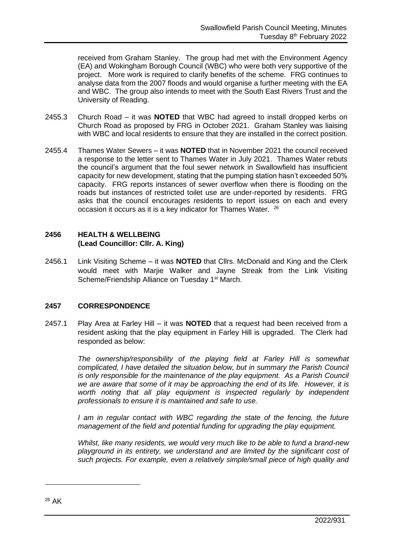received from Graham Stanley. The group had met with the Environment Agency (EA) and Wokingham Borough Council (WBC) who were both very supportive of the project. More work is required to clarify benefits of the scheme. FRG continues to analyse data from the 2007 floods and would organise a further meeting with the EA and WBC. The group also intends to meet with the South East Rivers Trust and the University of Reading.

- 2455.3 Church Road it was **NOTED** that WBC had agreed to install dropped kerbs on Church Road as proposed by FRG in October 2021. Graham Stanley was liaising with WBC and local residents to ensure that they are installed in the correct position.
- 2455.4 Thames Water Sewers it was **NOTED** that in November 2021 the council received a response to the letter sent to Thames Water in July 2021. Thames Water rebuts the council's argument that the foul sewer network in Swallowfield has insufficient capacity for new development, stating that the pumping station hasn't exceeded 50% capacity. FRG reports instances of sewer overflow when there is flooding on the roads but instances of restricted toilet use are under-reported by residents. FRG asks that the council encourages residents to report issues on each and every occasion it occurs as it is a key indicator for Thames Water. <sup>26</sup>

## **2456 HEALTH & WELLBEING (Lead Councillor: Cllr. A. King)**

2456.1 Link Visiting Scheme – it was **NOTED** that Cllrs. McDonald and King and the Clerk would meet with Marjie Walker and Jayne Streak from the Link Visiting Scheme/Friendship Alliance on Tuesday 1<sup>st</sup> March.

## **2457 CORRESPONDENCE**

2457.1 Play Area at Farley Hill – it was **NOTED** that a request had been received from a resident asking that the play equipment in Farley Hill is upgraded. The Clerk had responded as below:

> *The ownership/responsibility of the playing field at Farley Hill is somewhat complicated, I have detailed the situation below, but in summary the Parish Council is only responsible for the maintenance of the play equipment. As a Parish Council we are aware that some of it may be approaching the end of its life. However, it is*  worth noting that all play equipment is inspected regularly by independent *professionals to ensure it is maintained and safe to use.*

> *I* am in regular contact with WBC regarding the state of the fencing, the future *management of the field and potential funding for upgrading the play equipment.*

> *Whilst, like many residents, we would very much like to be able to fund a brand-new playground in its entirety, we understand and are limited by the significant cost of such projects. For example, even a relatively simple/small piece of high quality and*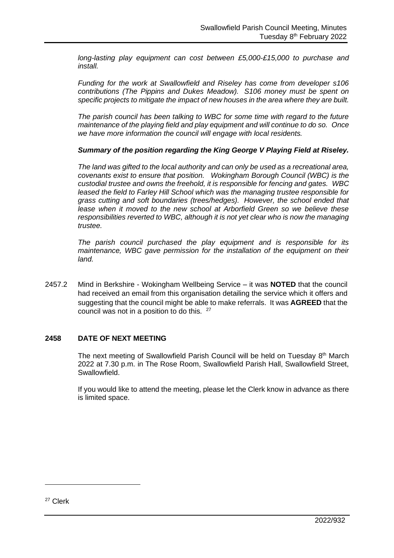*long-lasting play equipment can cost between £5,000-£15,000 to purchase and install.*

*Funding for the work at Swallowfield and Riseley has come from developer s106 contributions (The Pippins and Dukes Meadow). S106 money must be spent on specific projects to mitigate the impact of new houses in the area where they are built.*

*The parish council has been talking to WBC for some time with regard to the future maintenance of the playing field and play equipment and will continue to do so. Once we have more information the council will engage with local residents.*

*Summary of the position regarding the King George V Playing Field at Riseley.*

*The land was gifted to the local authority and can only be used as a recreational area, covenants exist to ensure that position. Wokingham Borough Council (WBC) is the custodial trustee and owns the freehold, it is responsible for fencing and gates. WBC leased the field to Farley Hill School which was the managing trustee responsible for grass cutting and soft boundaries (trees/hedges). However, the school ended that lease when it moved to the new school at Arborfield Green so we believe these responsibilities reverted to WBC, although it is not yet clear who is now the managing trustee.*

*The parish council purchased the play equipment and is responsible for its maintenance, WBC gave permission for the installation of the equipment on their land.*

2457.2 Mind in Berkshire - Wokingham Wellbeing Service – it was **NOTED** that the council had received an email from this organisation detailing the service which it offers and suggesting that the council might be able to make referrals. It was **AGREED** that the council was not in a position to do this. <sup>27</sup>

#### **2458 DATE OF NEXT MEETING**

The next meeting of Swallowfield Parish Council will be held on Tuesday 8<sup>th</sup> March 2022 at 7.30 p.m. in The Rose Room, Swallowfield Parish Hall, Swallowfield Street, Swallowfield.

If you would like to attend the meeting, please let the Clerk know in advance as there is limited space.

<sup>27</sup> Clerk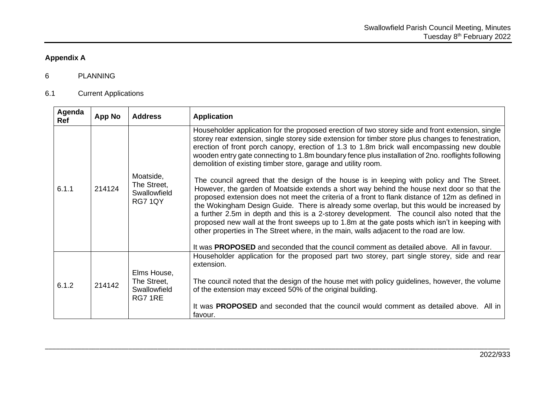# **Appendix A**

## 6 PLANNING

## 6.1 Current Applications

| Agenda<br>Ref | App No | <b>Address</b>                                        | <b>Application</b>                                                                                                                                                                                                                                                                                                                                                                                                                                                                                                                                                                                                                                                                                                                                                                                                                                                                                                                                                                                                                                                                                                                                                                                                                                           |
|---------------|--------|-------------------------------------------------------|--------------------------------------------------------------------------------------------------------------------------------------------------------------------------------------------------------------------------------------------------------------------------------------------------------------------------------------------------------------------------------------------------------------------------------------------------------------------------------------------------------------------------------------------------------------------------------------------------------------------------------------------------------------------------------------------------------------------------------------------------------------------------------------------------------------------------------------------------------------------------------------------------------------------------------------------------------------------------------------------------------------------------------------------------------------------------------------------------------------------------------------------------------------------------------------------------------------------------------------------------------------|
| 6.1.1         | 214124 | Moatside,<br>The Street,<br>Swallowfield<br>RG7 1QY   | Householder application for the proposed erection of two storey side and front extension, single<br>storey rear extension, single storey side extension for timber store plus changes to fenestration,<br>erection of front porch canopy, erection of 1.3 to 1.8m brick wall encompassing new double<br>wooden entry gate connecting to 1.8m boundary fence plus installation of 2no. rooflights following<br>demolition of existing timber store, garage and utility room.<br>The council agreed that the design of the house is in keeping with policy and The Street.<br>However, the garden of Moatside extends a short way behind the house next door so that the<br>proposed extension does not meet the criteria of a front to flank distance of 12m as defined in<br>the Wokingham Design Guide. There is already some overlap, but this would be increased by<br>a further 2.5m in depth and this is a 2-storey development. The council also noted that the<br>proposed new wall at the front sweeps up to 1.8m at the gate posts which isn't in keeping with<br>other properties in The Street where, in the main, walls adjacent to the road are low.<br>It was PROPOSED and seconded that the council comment as detailed above. All in favour. |
| 6.1.2         | 214142 | Elms House,<br>The Street,<br>Swallowfield<br>RG7 1RE | Householder application for the proposed part two storey, part single storey, side and rear<br>extension.<br>The council noted that the design of the house met with policy guidelines, however, the volume<br>of the extension may exceed 50% of the original building.<br>It was PROPOSED and seconded that the council would comment as detailed above. All in<br>favour.                                                                                                                                                                                                                                                                                                                                                                                                                                                                                                                                                                                                                                                                                                                                                                                                                                                                                 |

\_\_\_\_\_\_\_\_\_\_\_\_\_\_\_\_\_\_\_\_\_\_\_\_\_\_\_\_\_\_\_\_\_\_\_\_\_\_\_\_\_\_\_\_\_\_\_\_\_\_\_\_\_\_\_\_\_\_\_\_\_\_\_\_\_\_\_\_\_\_\_\_\_\_\_\_\_\_\_\_\_\_\_\_\_\_\_\_\_\_\_\_\_\_\_\_\_\_\_\_\_\_\_\_\_\_\_\_\_\_\_\_\_\_\_\_\_\_\_\_\_\_\_\_\_\_\_\_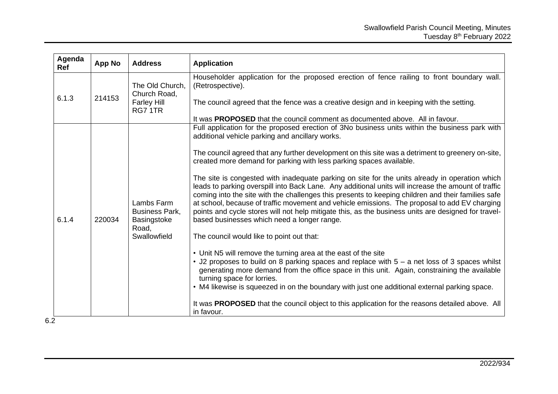| Agenda<br>Ref | App No | <b>Address</b>                                                              | <b>Application</b>                                                                                                                                                                                                                                                                                                                                                                                                                                                                                                                                                                                                                                                                                                                                                                                                                                                                                                                                                                                                                                                                                                                                                                                                                                                                                                                                                                                                                                                          |
|---------------|--------|-----------------------------------------------------------------------------|-----------------------------------------------------------------------------------------------------------------------------------------------------------------------------------------------------------------------------------------------------------------------------------------------------------------------------------------------------------------------------------------------------------------------------------------------------------------------------------------------------------------------------------------------------------------------------------------------------------------------------------------------------------------------------------------------------------------------------------------------------------------------------------------------------------------------------------------------------------------------------------------------------------------------------------------------------------------------------------------------------------------------------------------------------------------------------------------------------------------------------------------------------------------------------------------------------------------------------------------------------------------------------------------------------------------------------------------------------------------------------------------------------------------------------------------------------------------------------|
| 6.1.3         | 214153 | The Old Church,<br>Church Road,<br><b>Farley Hill</b><br>RG7 1TR            | Householder application for the proposed erection of fence railing to front boundary wall.<br>(Retrospective).<br>The council agreed that the fence was a creative design and in keeping with the setting.<br>It was <b>PROPOSED</b> that the council comment as documented above. All in favour.                                                                                                                                                                                                                                                                                                                                                                                                                                                                                                                                                                                                                                                                                                                                                                                                                                                                                                                                                                                                                                                                                                                                                                           |
| 6.1.4<br>6.2  | 220034 | Lambs Farm<br><b>Business Park,</b><br>Basingstoke<br>Road,<br>Swallowfield | Full application for the proposed erection of 3No business units within the business park with<br>additional vehicle parking and ancillary works.<br>The council agreed that any further development on this site was a detriment to greenery on-site,<br>created more demand for parking with less parking spaces available.<br>The site is congested with inadequate parking on site for the units already in operation which<br>leads to parking overspill into Back Lane. Any additional units will increase the amount of traffic<br>coming into the site with the challenges this presents to keeping children and their families safe<br>at school, because of traffic movement and vehicle emissions. The proposal to add EV charging<br>points and cycle stores will not help mitigate this, as the business units are designed for travel-<br>based businesses which need a longer range.<br>The council would like to point out that:<br>• Unit N5 will remove the turning area at the east of the site<br>$\cdot$ J2 proposes to build on 8 parking spaces and replace with $5 - a$ net loss of 3 spaces whilst<br>generating more demand from the office space in this unit. Again, constraining the available<br>turning space for lorries.<br>• M4 likewise is squeezed in on the boundary with just one additional external parking space.<br>It was PROPOSED that the council object to this application for the reasons detailed above. All<br>in favour. |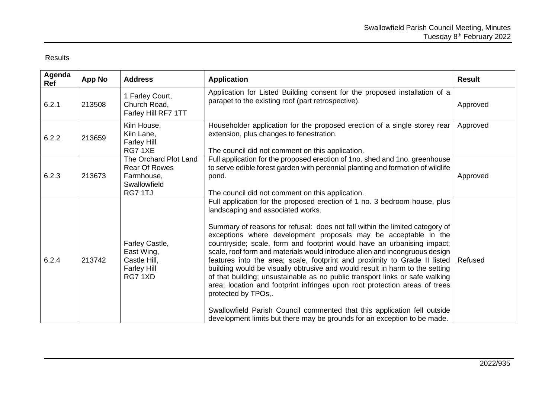## Results

| Agenda<br>Ref | <b>App No</b> | <b>Address</b>                                                                         | <b>Application</b>                                                                                                                                                                                                                                                                                                                                                                                                                                                                                                                                                                                                                                                                                                                                                                                                                                                                                                                    | <b>Result</b> |
|---------------|---------------|----------------------------------------------------------------------------------------|---------------------------------------------------------------------------------------------------------------------------------------------------------------------------------------------------------------------------------------------------------------------------------------------------------------------------------------------------------------------------------------------------------------------------------------------------------------------------------------------------------------------------------------------------------------------------------------------------------------------------------------------------------------------------------------------------------------------------------------------------------------------------------------------------------------------------------------------------------------------------------------------------------------------------------------|---------------|
| 6.2.1         | 213508        | 1 Farley Court,<br>Church Road,<br>Farley Hill RF7 1TT                                 | Application for Listed Building consent for the proposed installation of a<br>parapet to the existing roof (part retrospective).                                                                                                                                                                                                                                                                                                                                                                                                                                                                                                                                                                                                                                                                                                                                                                                                      | Approved      |
| 6.2.2         | 213659        | Kiln House,<br>Kiln Lane,<br><b>Farley Hill</b><br>RG71XE                              | Householder application for the proposed erection of a single storey rear<br>extension, plus changes to fenestration.<br>The council did not comment on this application.                                                                                                                                                                                                                                                                                                                                                                                                                                                                                                                                                                                                                                                                                                                                                             | Approved      |
| 6.2.3         | 213673        | The Orchard Plot Land<br><b>Rear Of Rowes</b><br>Farmhouse,<br>Swallowfield<br>RG7 1TJ | Full application for the proposed erection of 1no. shed and 1no. greenhouse<br>to serve edible forest garden with perennial planting and formation of wildlife<br>pond.<br>The council did not comment on this application.                                                                                                                                                                                                                                                                                                                                                                                                                                                                                                                                                                                                                                                                                                           | Approved      |
| 6.2.4         | 213742        | Farley Castle,<br>East Wing,<br>Castle Hill,<br><b>Farley Hill</b><br>RG71XD           | Full application for the proposed erection of 1 no. 3 bedroom house, plus<br>landscaping and associated works.<br>Summary of reasons for refusal: does not fall within the limited category of<br>exceptions where development proposals may be acceptable in the<br>countryside; scale, form and footprint would have an urbanising impact;<br>scale, roof form and materials would introduce alien and incongruous design<br>features into the area; scale, footprint and proximity to Grade II listed<br>building would be visually obtrusive and would result in harm to the setting<br>of that building; unsustainable as no public transport links or safe walking<br>area; location and footprint infringes upon root protection areas of trees<br>protected by TPOs,.<br>Swallowfield Parish Council commented that this application fell outside<br>development limits but there may be grounds for an exception to be made. | Refused       |